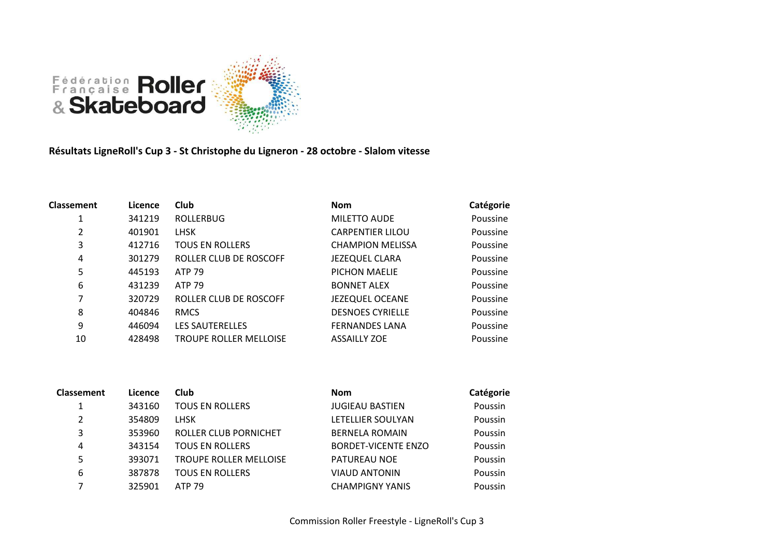

**Résultats LigneRoll's Cup 3 - St Christophe du Ligneron - 28 octobre - Slalom vitesse**

| <b>Classement</b> | Licence | Club                          | <b>Nom</b>              | Catégorie |
|-------------------|---------|-------------------------------|-------------------------|-----------|
|                   | 341219  | <b>ROLLERBUG</b>              | <b>MILETTO AUDE</b>     | Poussine  |
| 2                 | 401901  | <b>LHSK</b>                   | <b>CARPENTIER LILOU</b> | Poussine  |
| 3                 | 412716  | <b>TOUS EN ROLLERS</b>        | <b>CHAMPION MELISSA</b> | Poussine  |
| 4                 | 301279  | ROLLER CLUB DE ROSCOFF        | <b>JEZEQUEL CLARA</b>   | Poussine  |
| 5                 | 445193  | <b>ATP 79</b>                 | PICHON MAELIE           | Poussine  |
| 6                 | 431239  | <b>ATP 79</b>                 | <b>BONNET ALEX</b>      | Poussine  |
| 7                 | 320729  | ROLLER CLUB DE ROSCOFF        | <b>JEZEQUEL OCEANE</b>  | Poussine  |
| 8                 | 404846  | <b>RMCS</b>                   | <b>DESNOES CYRIELLE</b> | Poussine  |
| 9                 | 446094  | <b>LES SAUTERELLES</b>        | <b>FERNANDES LANA</b>   | Poussine  |
| 10                | 428498  | <b>TROUPE ROLLER MELLOISE</b> | <b>ASSAILLY ZOE</b>     | Poussine  |
|                   |         |                               |                         |           |

| <b>Classement</b> | Licence | Club                          | <b>Nom</b>                 | Catégorie |
|-------------------|---------|-------------------------------|----------------------------|-----------|
|                   | 343160  | <b>TOUS EN ROLLERS</b>        | <b>JUGIEAU BASTIEN</b>     | Poussin   |
| 2                 | 354809  | <b>LHSK</b>                   | LETELLIER SOULYAN          | Poussin   |
| 3                 | 353960  | ROLLER CLUB PORNICHET         | <b>BERNELA ROMAIN</b>      | Poussin   |
| 4                 | 343154  | <b>TOUS EN ROLLERS</b>        | <b>BORDET-VICENTE ENZO</b> | Poussin   |
| 5                 | 393071  | <b>TROUPE ROLLER MELLOISE</b> | <b>PATUREAU NOE</b>        | Poussin   |
| 6                 | 387878  | <b>TOUS EN ROLLERS</b>        | <b>VIAUD ANTONIN</b>       | Poussin   |
|                   | 325901  | <b>ATP 79</b>                 | <b>CHAMPIGNY YANIS</b>     | Poussin   |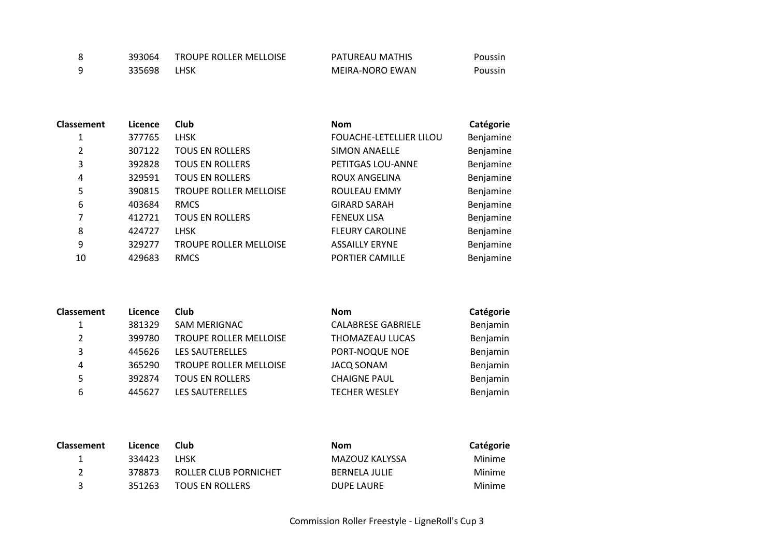| 393064 | <b>TROUPE ROLLER MELLOISE</b> | PATUREAU MATHIS | Poussin |
|--------|-------------------------------|-----------------|---------|
| 335698 | LHSK                          | MEIRA-NORO EWAN | Poussin |

| <b>Classement</b> | Licence | <b>Club</b>                   | <b>Nom</b>              | Catégorie |
|-------------------|---------|-------------------------------|-------------------------|-----------|
| 1                 | 377765  | <b>LHSK</b>                   | FOUACHE-LETELLIER LILOU | Benjamine |
| 2                 | 307122  | <b>TOUS EN ROLLERS</b>        | <b>SIMON ANAELLE</b>    | Benjamine |
| 3                 | 392828  | <b>TOUS EN ROLLERS</b>        | PETITGAS LOU-ANNE       | Benjamine |
| 4                 | 329591  | <b>TOUS EN ROLLERS</b>        | ROUX ANGELINA           | Benjamine |
| 5                 | 390815  | <b>TROUPE ROLLER MELLOISE</b> | ROULEAU EMMY            | Benjamine |
| 6                 | 403684  | <b>RMCS</b>                   | <b>GIRARD SARAH</b>     | Benjamine |
| 7                 | 412721  | <b>TOUS EN ROLLERS</b>        | <b>FENEUX LISA</b>      | Benjamine |
| 8                 | 424727  | <b>LHSK</b>                   | <b>FLEURY CAROLINE</b>  | Benjamine |
| 9                 | 329277  | <b>TROUPE ROLLER MELLOISE</b> | <b>ASSAILLY ERYNE</b>   | Benjamine |
| 10                | 429683  | <b>RMCS</b>                   | PORTIER CAMILLE         | Benjamine |
|                   |         |                               |                         |           |

| Classement | Licence | Club                          | <b>Nom</b>                | Catégorie |
|------------|---------|-------------------------------|---------------------------|-----------|
|            | 381329  | SAM MERIGNAC                  | <b>CALABRESE GABRIELE</b> | Benjamin  |
| 2          | 399780  | <b>TROUPE ROLLER MELLOISE</b> | THOMAZEAU LUCAS           | Benjamin  |
| 3          | 445626  | <b>LES SAUTERELLES</b>        | PORT-NOQUE NOE            | Benjamin  |
| 4          | 365290  | <b>TROUPE ROLLER MELLOISE</b> | <b>JACQ SONAM</b>         | Benjamin  |
| 5          | 392874  | <b>TOUS EN ROLLERS</b>        | <b>CHAIGNE PAUL</b>       | Benjamin  |
| 6          | 445627  | <b>LES SAUTERELLES</b>        | <b>TECHER WESLEY</b>      | Benjamin  |

| <b>Classement</b> | Licence | Club                   | Nom                  | Catégorie |
|-------------------|---------|------------------------|----------------------|-----------|
|                   | 334423  | I HSK                  | MAZOUZ KALYSSA       | Minime    |
|                   | 378873  | ROLLER CLUB PORNICHET  | <b>BERNELA JULIF</b> | Minime    |
|                   | 351263  | <b>TOUS EN ROLLERS</b> | DUPE LAURE           | Minime    |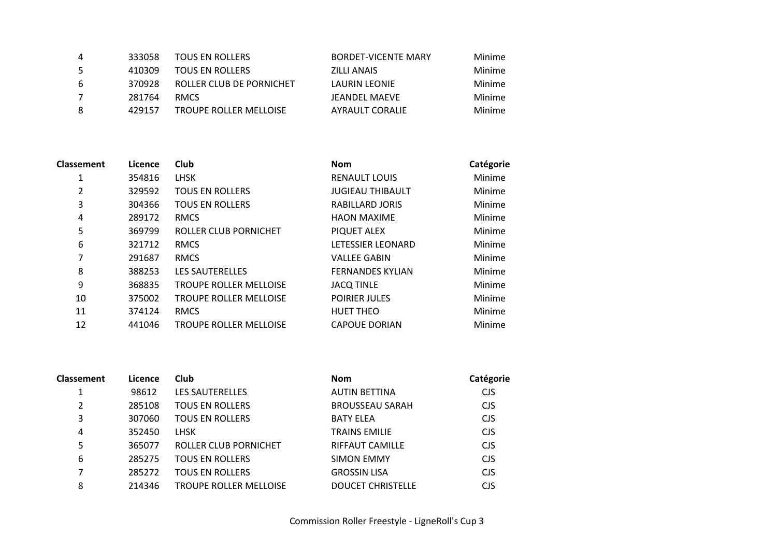| 4  | 333058 | TOUS EN ROLLERS               | BORDET-VICENTE MARY | Minime |
|----|--------|-------------------------------|---------------------|--------|
| -5 | 410309 | TOUS EN ROLLERS               | ZILLI ANAIS         | Minime |
| -6 | 370928 | ROLLER CLUB DE PORNICHET      | LAURIN LEONIE       | Minime |
| 7  | 281764 | <b>RMCS</b>                   | JEANDEL MAEVE       | Minime |
| -8 | 429157 | <b>TROUPE ROLLER MELLOISE</b> | AYRAULT CORALIE     | Minime |

| <b>Classement</b> | Licence | Club                          | <b>Nom</b>               | Catégorie |
|-------------------|---------|-------------------------------|--------------------------|-----------|
| 1                 | 354816  | <b>LHSK</b>                   | <b>RENAULT LOUIS</b>     | Minime    |
| 2                 | 329592  | <b>TOUS EN ROLLERS</b>        | <b>JUGIEAU THIBAULT</b>  | Minime    |
| 3                 | 304366  | <b>TOUS EN ROLLERS</b>        | RABILLARD JORIS          | Minime    |
| 4                 | 289172  | <b>RMCS</b>                   | <b>HAON MAXIME</b>       | Minime    |
| 5                 | 369799  | ROLLER CLUB PORNICHET         | PIQUET ALEX              | Minime    |
| 6                 | 321712  | <b>RMCS</b>                   | <b>LETESSIER LEONARD</b> | Minime    |
| 7                 | 291687  | <b>RMCS</b>                   | <b>VALLEE GABIN</b>      | Minime    |
| 8                 | 388253  | <b>LES SAUTERELLES</b>        | <b>FERNANDES KYLIAN</b>  | Minime    |
| 9                 | 368835  | <b>TROUPE ROLLER MELLOISE</b> | <b>JACQ TINLE</b>        | Minime    |
| 10                | 375002  | <b>TROUPE ROLLER MELLOISE</b> | <b>POIRIER JULES</b>     | Minime    |
| 11                | 374124  | <b>RMCS</b>                   | <b>HUET THEO</b>         | Minime    |
| 12                | 441046  | <b>TROUPE ROLLER MELLOISE</b> | <b>CAPOUE DORIAN</b>     | Minime    |

| <b>Classement</b> | Licence | <b>Club</b>                   | <b>Nom</b>               | Catégorie  |
|-------------------|---------|-------------------------------|--------------------------|------------|
| 1                 | 98612   | <b>LES SAUTERELLES</b>        | <b>AUTIN BETTINA</b>     | <b>CJS</b> |
| 2                 | 285108  | <b>TOUS EN ROLLERS</b>        | <b>BROUSSEAU SARAH</b>   | <b>CJS</b> |
| 3                 | 307060  | <b>TOUS EN ROLLERS</b>        | <b>BATY ELEA</b>         | <b>CJS</b> |
| 4                 | 352450  | <b>LHSK</b>                   | <b>TRAINS EMILIE</b>     | <b>CJS</b> |
| 5                 | 365077  | ROLLER CLUB PORNICHET         | <b>RIFFAUT CAMILLE</b>   | <b>CJS</b> |
| 6                 | 285275  | <b>TOUS EN ROLLERS</b>        | <b>SIMON EMMY</b>        | <b>CJS</b> |
| 7                 | 285272  | <b>TOUS EN ROLLERS</b>        | <b>GROSSIN LISA</b>      | <b>CJS</b> |
| 8                 | 214346  | <b>TROUPE ROLLER MELLOISE</b> | <b>DOUCET CHRISTELLE</b> | <b>CIS</b> |
|                   |         |                               |                          |            |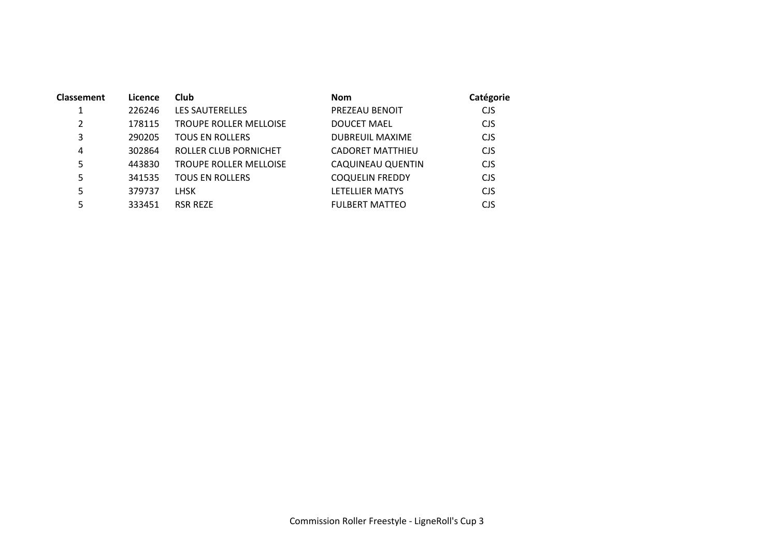| <b>Classement</b> | Licence | Club                          | <b>Nom</b>              | Catégorie  |
|-------------------|---------|-------------------------------|-------------------------|------------|
|                   | 226246  | <b>LES SAUTERELLES</b>        | PREZEAU BENOIT          | <b>CJS</b> |
| 2                 | 178115  | TROUPE ROLLER MELLOISE        | <b>DOUCET MAEL</b>      | <b>CJS</b> |
| 3                 | 290205  | <b>TOUS EN ROLLERS</b>        | <b>DUBREUIL MAXIME</b>  | <b>CJS</b> |
| 4                 | 302864  | ROLLER CLUB PORNICHET         | <b>CADORET MATTHIEU</b> | <b>CJS</b> |
| 5                 | 443830  | <b>TROUPE ROLLER MELLOISE</b> | CAQUINEAU QUENTIN       | <b>CJS</b> |
| 5                 | 341535  | <b>TOUS EN ROLLERS</b>        | <b>COQUELIN FREDDY</b>  | <b>CJS</b> |
| 5                 | 379737  | <b>LHSK</b>                   | LETELLIER MATYS         | <b>CJS</b> |
| 5                 | 333451  | <b>RSR REZE</b>               | <b>FULBERT MATTEO</b>   | CJS        |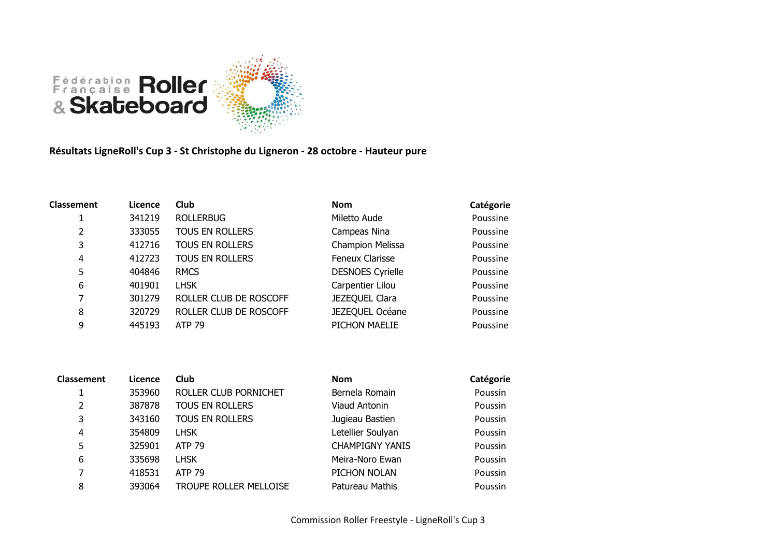

**Résultats LigneRoll's Cup 3 - St Christophe du Ligneron - 28 octobre - Hauteur pure**

| <b>Classement</b> | Licence | <b>Club</b>            | <b>Nom</b>              | Catégorie |
|-------------------|---------|------------------------|-------------------------|-----------|
|                   | 341219  | <b>ROLLERBUG</b>       | Miletto Aude            | Poussine  |
| 2                 | 333055  | TOUS EN ROLLERS        | Campeas Nina            | Poussine  |
| 3                 | 412716  | TOUS EN ROLLERS        | Champion Melissa        | Poussine  |
| 4                 | 412723  | TOUS EN ROLLERS        | Feneux Clarisse         | Poussine  |
| 5                 | 404846  | <b>RMCS</b>            | <b>DESNOES Cyrielle</b> | Poussine  |
| 6                 | 401901  | <b>LHSK</b>            | Carpentier Lilou        | Poussine  |
| 7                 | 301279  | ROLLER CLUB DE ROSCOFF | JEZEQUEL Clara          | Poussine  |
| 8                 | 320729  | ROLLER CLUB DE ROSCOFF | JEZEQUEL Océane         | Poussine  |
| 9                 | 445193  | <b>ATP 79</b>          | PICHON MAELIE           | Poussine  |

| <b>Classement</b> | Licence | Club                          | <b>Nom</b>             | Catégorie |
|-------------------|---------|-------------------------------|------------------------|-----------|
|                   | 353960  | ROLLER CLUB PORNICHET         | Bernela Romain         | Poussin   |
| 2                 | 387878  | <b>TOUS EN ROLLERS</b>        | Viaud Antonin          | Poussin   |
| 3                 | 343160  | <b>TOUS EN ROLLERS</b>        | Jugieau Bastien        | Poussin   |
| 4                 | 354809  | <b>LHSK</b>                   | Letellier Soulyan      | Poussin   |
| 5                 | 325901  | <b>ATP 79</b>                 | <b>CHAMPIGNY YANIS</b> | Poussin   |
| 6                 | 335698  | <b>LHSK</b>                   | Meira-Noro Ewan        | Poussin   |
| 7                 | 418531  | <b>ATP 79</b>                 | PICHON NOLAN           | Poussin   |
| 8                 | 393064  | <b>TROUPE ROLLER MELLOISE</b> | Patureau Mathis        | Poussin   |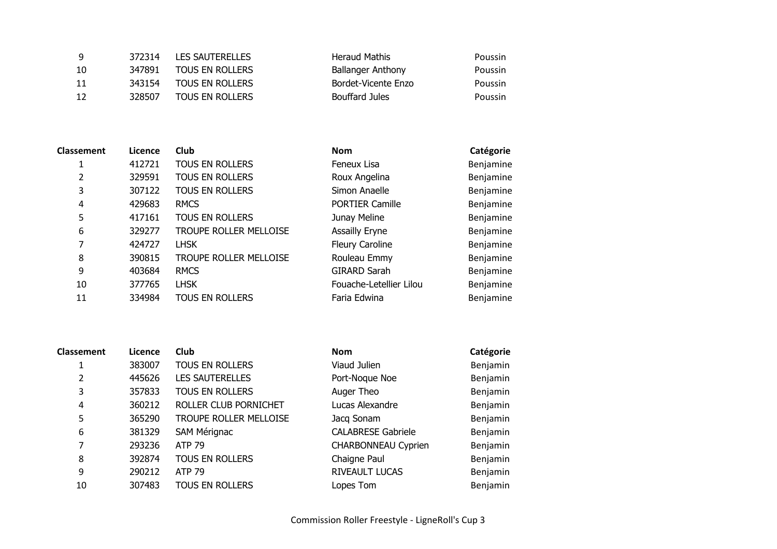| -9 | 372314 | <b>LES SAUTERELLES</b> | Heraud Mathis            | Poussin |
|----|--------|------------------------|--------------------------|---------|
| 10 | 347891 | <b>TOUS EN ROLLERS</b> | <b>Ballanger Anthony</b> | Poussin |
| 11 | 343154 | TOUS EN ROLLERS        | Bordet-Vicente Enzo      | Poussin |
| 12 | 328507 | <b>TOUS EN ROLLERS</b> | Bouffard Jules           | Poussin |

| <b>Classement</b> | Licence | Club                   | <b>Nom</b>              | Catégorie |
|-------------------|---------|------------------------|-------------------------|-----------|
|                   | 412721  | TOUS EN ROLLERS        | Feneux Lisa             | Benjamine |
| 2                 | 329591  | TOUS EN ROLLERS        | Roux Angelina           | Benjamine |
| 3                 | 307122  | TOUS EN ROLLERS        | Simon Anaelle           | Benjamine |
| 4                 | 429683  | <b>RMCS</b>            | <b>PORTIER Camille</b>  | Benjamine |
| 5                 | 417161  | TOUS EN ROLLERS        | Junay Meline            | Benjamine |
| 6                 | 329277  | TROUPE ROLLER MELLOISE | <b>Assailly Eryne</b>   | Benjamine |
| 7                 | 424727  | <b>LHSK</b>            | <b>Fleury Caroline</b>  | Benjamine |
| 8                 | 390815  | TROUPE ROLLER MELLOISE | Rouleau Emmy            | Benjamine |
| 9                 | 403684  | <b>RMCS</b>            | <b>GIRARD Sarah</b>     | Benjamine |
| 10                | 377765  | <b>LHSK</b>            | Fouache-Letellier Lilou | Benjamine |
| 11                | 334984  | TOUS EN ROLLERS        | Faria Edwina            | Benjamine |

| ement: | Licence | Club                          | <b>Nom</b>              | Catégorie |
|--------|---------|-------------------------------|-------------------------|-----------|
|        | 412721  | <b>TOUS EN ROLLERS</b>        | Feneux Lisa             | Benjamine |
|        | 329591  | <b>TOUS EN ROLLERS</b>        | Roux Angelina           | Benjamine |
|        | 307122  | <b>TOUS EN ROLLERS</b>        | Simon Anaelle           | Benjamine |
|        | 429683  | <b>RMCS</b>                   | <b>PORTIER Camille</b>  | Benjamine |
|        | 417161  | <b>TOUS EN ROLLERS</b>        | Junay Meline            | Benjamine |
|        | 329277  | <b>TROUPE ROLLER MELLOISE</b> | <b>Assailly Eryne</b>   | Benjamine |
|        | 424727  | <b>LHSK</b>                   | Fleury Caroline         | Benjamine |
|        | 390815  | TROUPE ROLLER MELLOISE        | Rouleau Emmy            | Benjamine |
|        | 403684  | <b>RMCS</b>                   | <b>GIRARD Sarah</b>     | Benjamine |
| 0      | 377765  | <b>LHSK</b>                   | Fouache-Letellier Lilou | Benjamine |
| 1      | 334984  | <b>TOUS EN ROLLERS</b>        | Faria Edwina            | Benjamine |
|        |         |                               |                         |           |

| <b>Classement</b> | Licence | Club                   | <b>Nom</b>                 | Catégorie |
|-------------------|---------|------------------------|----------------------------|-----------|
|                   | 383007  | <b>TOUS EN ROLLERS</b> | Viaud Julien               | Benjamin  |
| 2                 | 445626  | <b>LES SAUTERELLES</b> | Port-Noque Noe             | Benjamin  |
| 3                 | 357833  | TOUS EN ROLLERS        | Auger Theo                 | Benjamin  |
| 4                 | 360212  | ROLLER CLUB PORNICHET  | Lucas Alexandre            | Benjamin  |
| 5                 | 365290  | TROUPE ROLLER MELLOISE | Jacq Sonam                 | Benjamin  |
| 6                 | 381329  | SAM Mérignac           | <b>CALABRESE Gabriele</b>  | Benjamin  |
| 7                 | 293236  | <b>ATP 79</b>          | <b>CHARBONNEAU Cyprien</b> | Benjamin  |
| 8                 | 392874  | TOUS EN ROLLERS        | Chaigne Paul               | Benjamin  |
| 9                 | 290212  | <b>ATP 79</b>          | RIVEAULT LUCAS             | Benjamin  |
| 10                | 307483  | <b>TOUS EN ROLLERS</b> | Lopes Tom                  | Benjamin  |
|                   |         |                        |                            |           |

| Nom                       | Catégorie |
|---------------------------|-----------|
| Viaud Julien              | Benjamin  |
| Port-Noque Noe            | Benjamin  |
| Auger Theo                | Benjamin  |
| Lucas Alexandre           | Benjamin  |
| Jacq Sonam                | Benjamin  |
| <b>CALABRESE Gabriele</b> | Benjamin  |
| CHARBONNEAU Cyprien       | Benjamin  |
| Chaigne Paul              | Benjamin  |
| RIVEAULT LUCAS            | Benjamin  |
| Lopes Tom                 | Benjamin  |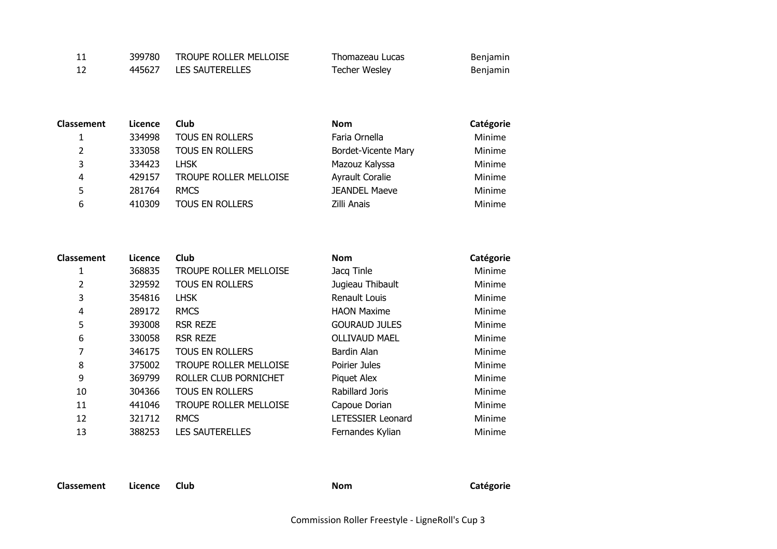| -11 | 399780 | TROUPE ROLLER MELLOISE | Thomazeau Lucas | Benjamin |
|-----|--------|------------------------|-----------------|----------|
| -12 |        | 445627 LES SAUTERELLES | Techer Wesley   | Benjamin |

| <b>Classement</b> | Licence | <b>Club</b>            | <b>Nom</b>             | Catégorie |
|-------------------|---------|------------------------|------------------------|-----------|
|                   | 334998  | TOUS EN ROLLERS        | Faria Ornella          | Minime    |
| 2                 | 333058  | <b>TOUS EN ROLLERS</b> | Bordet-Vicente Mary    | Minime    |
| 3                 | 334423  | l HSK                  | Mazouz Kalyssa         | Minime    |
| 4                 | 429157  | TROUPE ROLLER MELLOISE | <b>Ayrault Coralie</b> | Minime    |
| 5.                | 281764  | <b>RMCS</b>            | <b>JEANDEL Maeve</b>   | Minime    |
| 6                 | 410309  | <b>TOUS EN ROLLERS</b> | Zilli Anais            | Minime    |

| <b>Classement</b> | Licence | <b>Club</b>                   | <b>Nom</b>               | Catégorie |
|-------------------|---------|-------------------------------|--------------------------|-----------|
| 1                 | 368835  | <b>TROUPE ROLLER MELLOISE</b> | Jacq Tinle               | Minime    |
| 2                 | 329592  | <b>TOUS EN ROLLERS</b>        | Jugieau Thibault         | Minime    |
| 3                 | 354816  | <b>LHSK</b>                   | Renault Louis            | Minime    |
| 4                 | 289172  | <b>RMCS</b>                   | <b>HAON Maxime</b>       | Minime    |
| 5                 | 393008  | <b>RSR REZE</b>               | <b>GOURAUD JULES</b>     | Minime    |
| 6                 | 330058  | <b>RSR REZE</b>               | <b>OLLIVAUD MAEL</b>     | Minime    |
| 7                 | 346175  | <b>TOUS EN ROLLERS</b>        | Bardin Alan              | Minime    |
| 8                 | 375002  | <b>TROUPE ROLLER MELLOISE</b> | Poirier Jules            | Minime    |
| 9                 | 369799  | ROLLER CLUB PORNICHET         | Piquet Alex              | Minime    |
| 10                | 304366  | <b>TOUS EN ROLLERS</b>        | Rabillard Joris          | Minime    |
| 11                | 441046  | TROUPE ROLLER MELLOISE        | Capoue Dorian            | Minime    |
| 12                | 321712  | <b>RMCS</b>                   | <b>LETESSIER Leonard</b> | Minime    |
| 13                | 388253  | <b>LES SAUTERELLES</b>        | Fernandes Kylian         | Minime    |

**Classement Licence Club Nom Catégorie**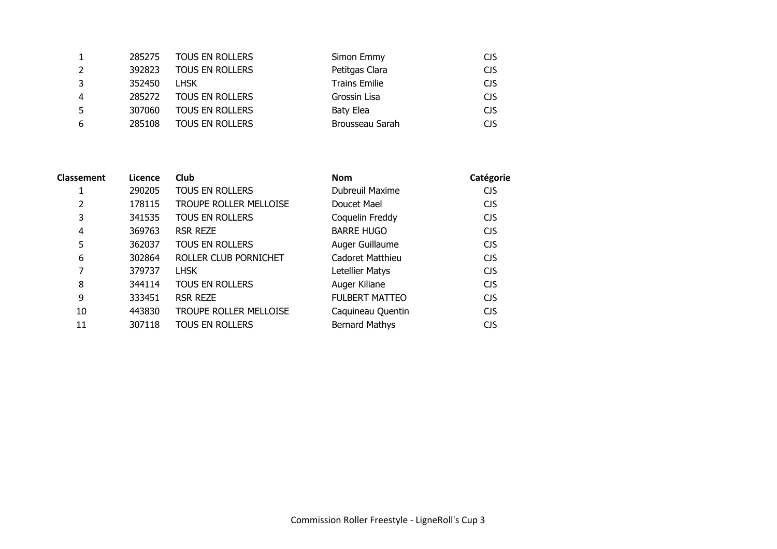|   | 285275 | <b>TOUS EN ROLLERS</b> | Simon Emmy           | <b>CJS</b> |
|---|--------|------------------------|----------------------|------------|
|   | 392823 | TOUS EN ROLLERS        | Petitgas Clara       | <b>CJS</b> |
|   | 352450 | l HSK                  | <b>Trains Emilie</b> | <b>CJS</b> |
| 4 | 285272 | <b>TOUS EN ROLLERS</b> | Grossin Lisa         | <b>CJS</b> |
|   | 307060 | <b>TOUS EN ROLLERS</b> | Baty Elea            | <b>CJS</b> |
| 6 | 285108 | <b>TOUS EN ROLLERS</b> | Brousseau Sarah      | <b>CJS</b> |
|   |        |                        |                      |            |

| Classement | Licence | Club                          | <b>Nom</b>            | Catégorie  |
|------------|---------|-------------------------------|-----------------------|------------|
| 1          | 290205  | <b>TOUS EN ROLLERS</b>        | Dubreuil Maxime       | CJS        |
| 2          | 178115  | <b>TROUPE ROLLER MELLOISE</b> | Doucet Mael           | <b>CJS</b> |
| 3          | 341535  | <b>TOUS EN ROLLERS</b>        | Coquelin Freddy       | <b>CJS</b> |
| 4          | 369763  | <b>RSR REZE</b>               | <b>BARRE HUGO</b>     | <b>CJS</b> |
| 5          | 362037  | <b>TOUS EN ROLLERS</b>        | Auger Guillaume       | <b>CJS</b> |
| 6          | 302864  | ROLLER CLUB PORNICHET         | Cadoret Matthieu      | <b>CJS</b> |
| 7          | 379737  | <b>LHSK</b>                   | Letellier Matys       | <b>CJS</b> |
| 8          | 344114  | <b>TOUS EN ROLLERS</b>        | Auger Kiliane         | <b>CJS</b> |
| 9          | 333451  | <b>RSR REZE</b>               | <b>FULBERT MATTEO</b> | <b>CJS</b> |
| 10         | 443830  | <b>TROUPE ROLLER MELLOISE</b> | Caquineau Quentin     | <b>CJS</b> |
| 11         | 307118  | <b>TOUS EN ROLLERS</b>        | <b>Bernard Mathys</b> | <b>CJS</b> |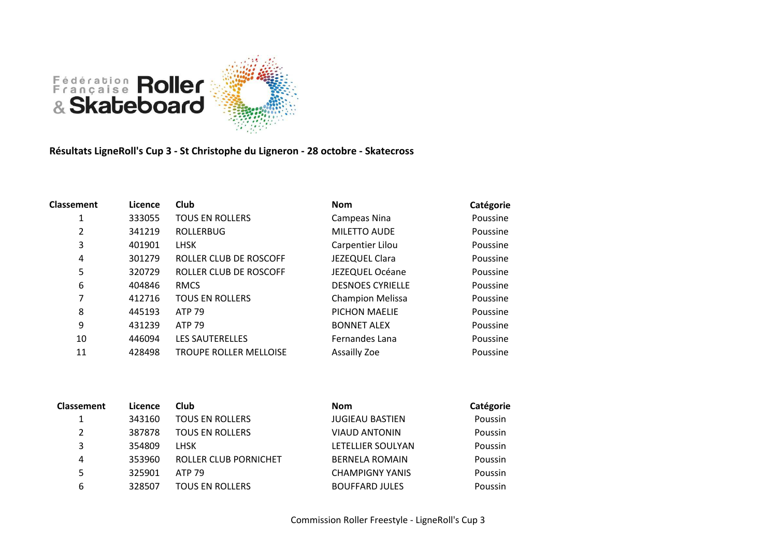

**Résultats LigneRoll's Cup 3 - St Christophe du Ligneron - 28 octobre - Skatecross**

| <b>Classement</b> | Licence | <b>Club</b>                   | <b>Nom</b>              | Catégorie |
|-------------------|---------|-------------------------------|-------------------------|-----------|
| 1                 | 333055  | <b>TOUS EN ROLLERS</b>        | Campeas Nina            | Poussine  |
| 2                 | 341219  | <b>ROLLERBUG</b>              | <b>MILETTO AUDE</b>     | Poussine  |
| 3                 | 401901  | <b>LHSK</b>                   | Carpentier Lilou        | Poussine  |
| 4                 | 301279  | ROLLER CLUB DE ROSCOFF        | JEZEQUEL Clara          | Poussine  |
| 5                 | 320729  | ROLLER CLUB DE ROSCOFF        | JEZEQUEL Océane         | Poussine  |
| 6                 | 404846  | <b>RMCS</b>                   | <b>DESNOES CYRIELLE</b> | Poussine  |
| 7                 | 412716  | <b>TOUS EN ROLLERS</b>        | <b>Champion Melissa</b> | Poussine  |
| 8                 | 445193  | <b>ATP 79</b>                 | PICHON MAELIE           | Poussine  |
| 9                 | 431239  | <b>ATP 79</b>                 | <b>BONNET ALEX</b>      | Poussine  |
| 10                | 446094  | <b>LES SAUTERELLES</b>        | Fernandes Lana          | Poussine  |
| 11                | 428498  | <b>TROUPE ROLLER MELLOISE</b> | Assailly Zoe            | Poussine  |
|                   |         |                               |                         |           |

| <b>Classement</b> | Licence | Club                         | <b>Nom</b>             | Catégorie |
|-------------------|---------|------------------------------|------------------------|-----------|
| 1                 | 343160  | <b>TOUS EN ROLLERS</b>       | <b>JUGIEAU BASTIEN</b> | Poussin   |
| 2                 | 387878  | <b>TOUS EN ROLLERS</b>       | <b>VIAUD ANTONIN</b>   | Poussin   |
| 3                 | 354809  | <b>LHSK</b>                  | LETELLIER SOULYAN      | Poussin   |
| 4                 | 353960  | <b>ROLLER CLUB PORNICHET</b> | <b>BERNELA ROMAIN</b>  | Poussin   |
| 5                 | 325901  | <b>ATP 79</b>                | <b>CHAMPIGNY YANIS</b> | Poussin   |
| 6                 | 328507  | <b>TOUS EN ROLLERS</b>       | <b>BOUFFARD JULES</b>  | Poussin   |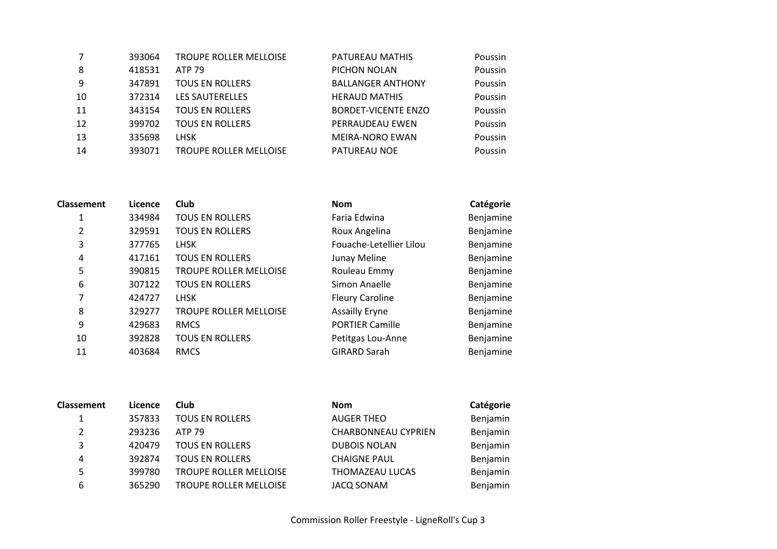| 393064 | <b>TROUPE ROLLER MELLOISE</b> | PATUREAU MATHIS            | Poussin |
|--------|-------------------------------|----------------------------|---------|
| 418531 | <b>ATP 79</b>                 | PICHON NOLAN               | Poussin |
| 347891 | <b>TOUS EN ROLLERS</b>        | <b>BALLANGER ANTHONY</b>   | Poussin |
| 372314 | <b>LES SAUTERELLES</b>        | <b>HERAUD MATHIS</b>       | Poussin |
| 343154 | <b>TOUS EN ROLLERS</b>        | <b>BORDET-VICENTE ENZO</b> | Poussin |
| 399702 | <b>TOUS EN ROLLERS</b>        | PERRAUDEAU EWEN            | Poussin |
| 335698 | <b>LHSK</b>                   | <b>MEIRA-NORO EWAN</b>     | Poussin |
| 393071 | <b>TROUPE ROLLER MELLOISE</b> | PATUREAU NOE               | Poussin |
|        |                               |                            |         |

| <b>Classement</b> | Licence | Club                          | <b>Nom</b>              | Catégorie |
|-------------------|---------|-------------------------------|-------------------------|-----------|
| 1                 | 334984  | <b>TOUS EN ROLLERS</b>        | Faria Edwina            | Benjamine |
| 2                 | 329591  | <b>TOUS EN ROLLERS</b>        | Roux Angelina           | Benjamine |
| 3                 | 377765  | <b>LHSK</b>                   | Fouache-Letellier Lilou | Benjamine |
| 4                 | 417161  | <b>TOUS EN ROLLERS</b>        | Junay Meline            | Benjamine |
| 5                 | 390815  | <b>TROUPE ROLLER MELLOISE</b> | Rouleau Emmy            | Benjamine |
| 6                 | 307122  | <b>TOUS EN ROLLERS</b>        | Simon Anaelle           | Benjamine |
| 7                 | 424727  | <b>LHSK</b>                   | <b>Fleury Caroline</b>  | Benjamine |
| 8                 | 329277  | <b>TROUPE ROLLER MELLOISE</b> | <b>Assailly Eryne</b>   | Benjamine |
| 9                 | 429683  | <b>RMCS</b>                   | <b>PORTIER Camille</b>  | Benjamine |
| 10                | 392828  | <b>TOUS EN ROLLERS</b>        | Petitgas Lou-Anne       | Benjamine |
| 11                | 403684  | <b>RMCS</b>                   | <b>GIRARD Sarah</b>     | Benjamine |
|                   |         |                               |                         |           |

| Classement | Licence | Club                          | <b>Nom</b>                 | Catégorie |
|------------|---------|-------------------------------|----------------------------|-----------|
|            | 357833  | <b>TOUS EN ROLLERS</b>        | <b>AUGER THEO</b>          | Benjamin  |
| 2          | 293236  | <b>ATP 79</b>                 | <b>CHARBONNEAU CYPRIEN</b> | Benjamin  |
| 3          | 420479  | <b>TOUS EN ROLLERS</b>        | <b>DUBOIS NOLAN</b>        | Benjamin  |
| 4          | 392874  | <b>TOUS EN ROLLERS</b>        | <b>CHAIGNE PAUL</b>        | Benjamin  |
| 5          | 399780  | <b>TROUPE ROLLER MELLOISE</b> | <b>THOMAZEAU LUCAS</b>     | Benjamin  |
| 6          | 365290  | <b>TROUPE ROLLER MELLOISE</b> | JACQ SONAM                 | Benjamin  |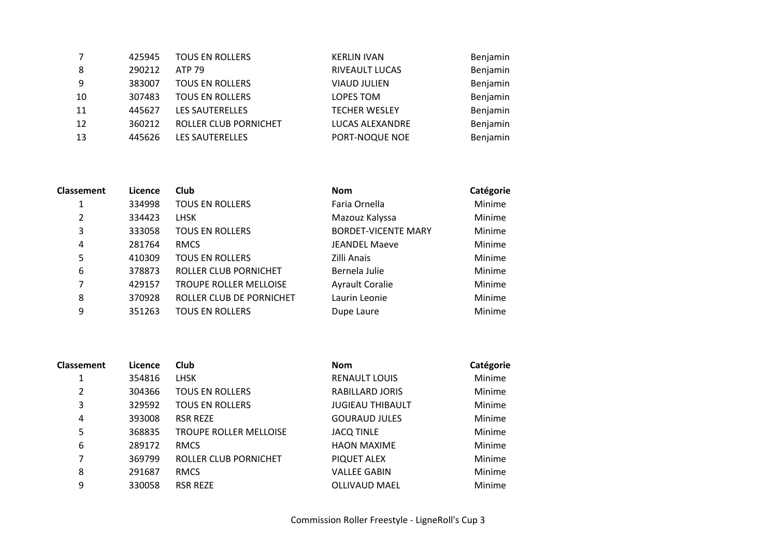|    | 425945 | <b>TOUS EN ROLLERS</b> | <b>KERLIN IVAN</b>   | Benjamin |
|----|--------|------------------------|----------------------|----------|
| 8  | 290212 | ATP 79                 | RIVEAULT LUCAS       | Benjamin |
| -9 | 383007 | <b>TOUS EN ROLLERS</b> | <b>VIAUD JULIEN</b>  | Benjamin |
| 10 | 307483 | <b>TOUS EN ROLLERS</b> | LOPES TOM            | Benjamin |
| 11 | 445627 | <b>LES SAUTERELLES</b> | <b>TECHER WESLEY</b> | Benjamin |
| 12 | 360212 | ROLLER CLUB PORNICHET  | LUCAS ALEXANDRE      | Benjamin |
| 13 | 445626 | <b>LES SAUTERELLES</b> | PORT-NOQUE NOE       | Benjamin |
|    |        |                        |                      |          |

| <b>Classement</b> | Licence | Club                          | <b>Nom</b>                 | Catégorie     |
|-------------------|---------|-------------------------------|----------------------------|---------------|
| 1                 | 334998  | <b>TOUS EN ROLLERS</b>        | Faria Ornella              | Minime        |
| 2                 | 334423  | <b>LHSK</b>                   | Mazouz Kalyssa             | Minime        |
| 3                 | 333058  | <b>TOUS EN ROLLERS</b>        | <b>BORDET-VICENTE MARY</b> | Minime        |
| 4                 | 281764  | <b>RMCS</b>                   | <b>JEANDEL Maeve</b>       | Minime        |
| 5                 | 410309  | <b>TOUS EN ROLLERS</b>        | Zilli Anais                | Minime        |
| 6                 | 378873  | ROLLER CLUB PORNICHET         | Bernela Julie              | Minime        |
| 7                 | 429157  | <b>TROUPE ROLLER MELLOISE</b> | <b>Ayrault Coralie</b>     | Minime        |
| 8                 | 370928  | ROLLER CLUB DE PORNICHET      | Laurin Leonie              | Minime        |
| 9                 | 351263  | <b>TOUS EN ROLLERS</b>        | Dupe Laure                 | <b>Minime</b> |
|                   |         |                               |                            |               |

| <b>Classement</b> | Licence | Club                          | <b>Nom</b>              | Catégorie |
|-------------------|---------|-------------------------------|-------------------------|-----------|
|                   | 354816  | <b>LHSK</b>                   | <b>RENAULT LOUIS</b>    | Minime    |
| $\overline{2}$    | 304366  | <b>TOUS EN ROLLERS</b>        | RABILLARD JORIS         | Minime    |
| 3                 | 329592  | <b>TOUS EN ROLLERS</b>        | <b>JUGIEAU THIBAULT</b> | Minime    |
| 4                 | 393008  | <b>RSR REZE</b>               | <b>GOURAUD JULES</b>    | Minime    |
| 5                 | 368835  | <b>TROUPE ROLLER MELLOISE</b> | <b>JACQ TINLE</b>       | Minime    |
| 6                 | 289172  | <b>RMCS</b>                   | <b>HAON MAXIME</b>      | Minime    |
| 7                 | 369799  | ROLLER CLUB PORNICHET         | PIQUET ALEX             | Minime    |
| 8                 | 291687  | <b>RMCS</b>                   | <b>VALLEE GABIN</b>     | Minime    |
| 9                 | 330058  | <b>RSR REZE</b>               | <b>OLLIVAUD MAEL</b>    | Minime    |